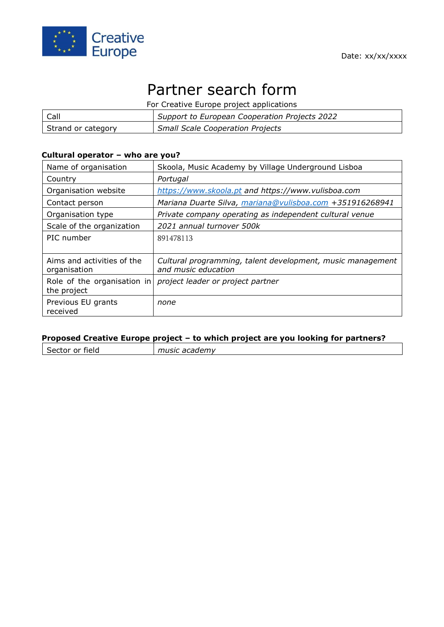

# Partner search form

For Creative Europe project applications

| Call               | Support to European Cooperation Projects 2022 |
|--------------------|-----------------------------------------------|
| Strand or category | <b>Small Scale Cooperation Projects</b>       |

#### **Cultural operator – who are you?**

| Name of organisation                       | Skoola, Music Academy by Village Underground Lisboa                               |
|--------------------------------------------|-----------------------------------------------------------------------------------|
| Country                                    | Portugal                                                                          |
| Organisation website                       | https://www.skoola.pt and https://www.vulisboa.com                                |
| Contact person                             | Mariana Duarte Silva, mariana@vulisboa.com +351916268941                          |
| Organisation type                          | Private company operating as independent cultural venue                           |
| Scale of the organization                  | 2021 annual turnover 500k                                                         |
| PIC number                                 | 891478113                                                                         |
|                                            |                                                                                   |
| Aims and activities of the<br>organisation | Cultural programming, talent development, music management<br>and music education |
| Role of the organisation in<br>the project | project leader or project partner                                                 |
| Previous EU grants<br>received             | none                                                                              |

### **Proposed Creative Europe project – to which project are you looking for partners?**

| Sector or field | music academy |
|-----------------|---------------|
|                 |               |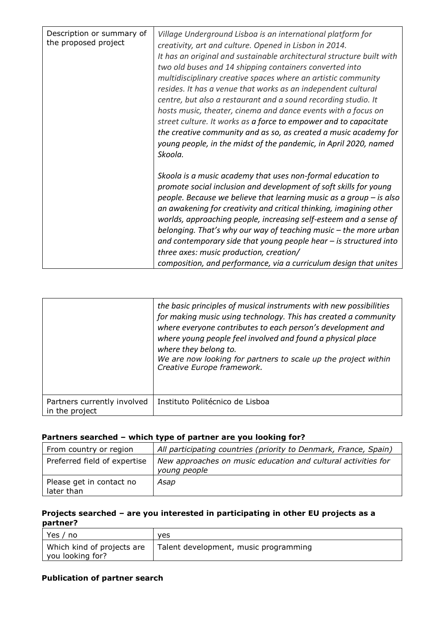| Description or summary of<br>the proposed project | Village Underground Lisboa is an international platform for<br>creativity, art and culture. Opened in Lisbon in 2014.<br>It has an original and sustainable architectural structure built with<br>two old buses and 14 shipping containers converted into<br>multidisciplinary creative spaces where an artistic community<br>resides. It has a venue that works as an independent cultural<br>centre, but also a restaurant and a sound recording studio. It<br>hosts music, theater, cinema and dance events with a focus on<br>street culture. It works as a force to empower and to capacitate<br>the creative community and as so, as created a music academy for<br>young people, in the midst of the pandemic, in April 2020, named<br>Skoola. |
|---------------------------------------------------|-------------------------------------------------------------------------------------------------------------------------------------------------------------------------------------------------------------------------------------------------------------------------------------------------------------------------------------------------------------------------------------------------------------------------------------------------------------------------------------------------------------------------------------------------------------------------------------------------------------------------------------------------------------------------------------------------------------------------------------------------------|
|                                                   | Skoola is a music academy that uses non-formal education to<br>promote social inclusion and development of soft skills for young<br>people. Because we believe that learning music as a group - is also<br>an awakening for creativity and critical thinking, imagining other<br>worlds, approaching people, increasing self-esteem and a sense of<br>belonging. That's why our way of teaching music – the more urban<br>and contemporary side that young people hear $-$ is structured into<br>three axes: music production, creation/<br>composition, and performance, via a curriculum design that unites                                                                                                                                         |

|                                               | the basic principles of musical instruments with new possibilities<br>for making music using technology. This has created a community<br>where everyone contributes to each person's development and<br>where young people feel involved and found a physical place<br>where they belong to.<br>We are now looking for partners to scale up the project within<br>Creative Europe framework. |
|-----------------------------------------------|----------------------------------------------------------------------------------------------------------------------------------------------------------------------------------------------------------------------------------------------------------------------------------------------------------------------------------------------------------------------------------------------|
| Partners currently involved<br>in the project | Instituto Politécnico de Lisboa                                                                                                                                                                                                                                                                                                                                                              |

## **Partners searched – which type of partner are you looking for?**

| From country or region                 | All participating countries (priority to Denmark, France, Spain)              |
|----------------------------------------|-------------------------------------------------------------------------------|
| Preferred field of expertise           | New approaches on music education and cultural activities for<br>young people |
| Please get in contact no<br>later than | Asap                                                                          |

## **Projects searched – are you interested in participating in other EU projects as a partner?**

| Yes /<br>' no                                  | <b>ves</b>                            |
|------------------------------------------------|---------------------------------------|
| Which kind of projects are<br>you looking for? | Talent development, music programming |

#### **Publication of partner search**